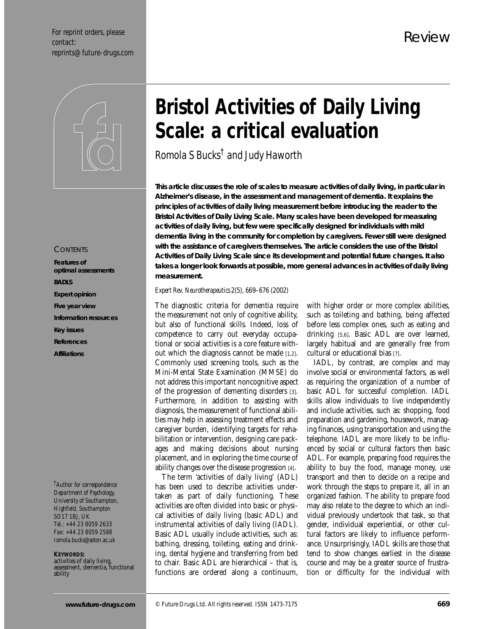

#### **CONTENTS**

**Features of [optimal assessments](#page-1-0) [BADLS](#page-1-1) [Expert opinion](#page-3-0) [Five year view](#page-5-0) [Information resources](#page-6-0) Key issues [References](#page-6-1) [Affiliations](#page-7-0)**

*† Author for correspondence Department of Psychology, University of Southampton, Highfield, Southampton SO17 1BJ, UK Tel.: +44 23 8059 2633 Fax: +44 23 8059 2588 romola.bucks@soton.ac.uk*

**KEYWORDS:** activities of daily living, assessment, dementia, functional ability

# **Bristol Activities of Daily Living Scale: a critical evaluation**

*Romola S Bucks† and Judy Haworth*

**This article discusses the role of scales to measure activities of daily living, in particular in Alzheimer's disease, in the assessment and management of dementia. It explains the principles of activities of daily living measurement before introducing the reader to the Bristol Activities of Daily Living Scale. Many scales have been developed for measuring activities of daily living, but few were specifically designed for individuals with mild dementia living in the community for completion by caregivers. Fewer still were designed with the assistance of caregivers themselves. The article considers the use of the Bristol Activities of Daily Living Scale since its development and potential future changes. It also takes a longer look forwards at possible, more general advances in activities of daily living measurement.**

#### *Expert Rev. Neurotherapeutics* 2(5), 669–676 (2002)

The diagnostic criteria for dementia require the measurement not only of cognitive ability, but also of functional skills. Indeed, loss of competence to carry out everyday occupational or social activities is a core feature without which the diagnosis cannot be made [1,2]. Commonly used screening tools, such as the Mini-Mental State Examination (MMSE) do not address this important noncognitive aspect of the progression of dementing disorders [3]. Furthermore, in addition to assisting with diagnosis, the measurement of functional abilities may help in assessing treatment effects and caregiver burden, identifying targets for rehabilitation or intervention, designing care packages and making decisions about nursing placement, and in exploring the time course of ability changes over the disease progression [4].

The term 'activities of daily living' (ADL) has been used to describe activities undertaken as part of daily functioning. These activities are often divided into basic or physical activities of daily living (basic ADL) and instrumental activities of daily living (IADL). Basic ADL usually include activities, such as: bathing, dressing, toileting, eating and drinking, dental hygiene and transferring from bed to chair. Basic ADL are hierarchical – that is, functions are ordered along a continuum,

with higher order or more complex abilities, such as toileting and bathing, being affected before less complex ones, such as eating and drinking [5,6]. Basic ADL are over learned, largely habitual and are generally free from cultural or educational bias [7].

IADL, by contrast, are complex and may involve social or environmental factors, as well as requiring the organization of a number of basic ADL for successful completion. IADL skills allow individuals to live independently and include activities, such as: shopping, food preparation and gardening, housework, managing finances, using transportation and using the telephone. IADL are more likely to be influenced by social or cultural factors then basic ADL. For example, preparing food requires the ability to buy the food, manage money, use transport and then to decide on a recipe and work through the steps to prepare it, all in an organized fashion. The ability to prepare food may also relate to the degree to which an individual previously undertook that task, so that gender, individual experiential, or other cultural factors are likely to influence performance. Unsurprisingly, IADL skills are those that tend to show changes earliest in the disease course and may be a greater source of frustration or difficulty for the individual with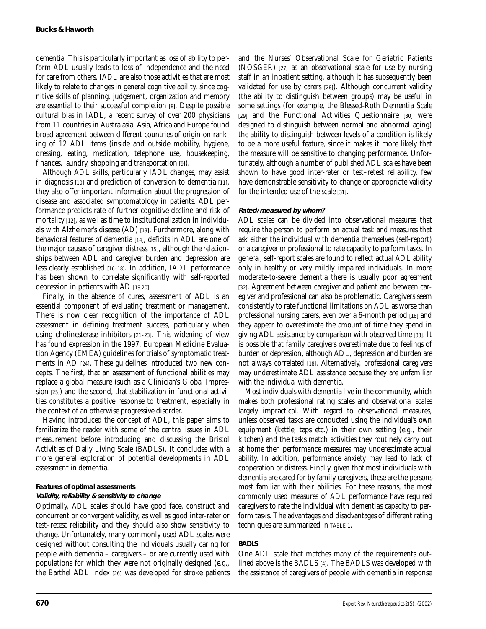dementia. This is particularly important as loss of ability to perform ADL usually leads to loss of independence and the need for care from others. IADL are also those activities that are most likely to relate to changes in general cognitive ability, since cognitive skills of planning, judgement, organization and memory are essential to their successful completion [8]. Despite possible cultural bias in IADL, a recent survey of over 200 physicians from 11 countries in Australasia, Asia, Africa and Europe found broad agreement between different countries of origin on ranking of 12 ADL items (inside and outside mobility, hygiene, dressing, eating, medication, telephone use, housekeeping, finances, laundry, shopping and transportation [9]).

Although ADL skills, particularly IADL changes, may assist in diagnosis [10] and prediction of conversion to dementia [11], they also offer important information about the progression of disease and associated symptomatology in patients. ADL performance predicts rate of further cognitive decline and risk of mortality [12], as well as time to institutionalization in individuals with Alzheimer's disease (AD) [13]. Furthermore, along with behavioral features of dementia [14], deficits in ADL are one of the major causes of caregiver distress [15], although the relationships between ADL and caregiver burden and depression are less clearly established [16–18]. In addition, IADL performance has been shown to correlate significantly with self-reported depression in patients with AD [19,20].

Finally, in the absence of cures, assessment of ADL is an essential component of evaluating treatment or management. There is now clear recognition of the importance of ADL assessment in defining treatment success, particularly when using cholinesterase inhibitors [21–23]. This widening of view has found expression in the 1997, European Medicine Evaluation Agency (EMEA) guidelines for trials of symptomatic treatments in AD [24]. These guidelines introduced two new concepts. The first, that an assessment of functional abilities may replace a global measure (such as a Clinician's Global Impression [25]) and the second, that stabilization in functional activities constitutes a positive response to treatment, especially in the context of an otherwise progressive disorder.

Having introduced the concept of ADL, this paper aims to familiarize the reader with some of the central issues in ADL measurement before introducing and discussing the Bristol Activities of Daily Living Scale (BADLS). It concludes with a more general exploration of potential developments in ADL assessment in dementia.

# <span id="page-1-0"></span>**Features of optimal assessments**

#### **Validity, reliability & sensitivity to change**

Optimally, ADL scales should have good face, construct and concurrent or convergent validity, as well as good inter-rater or test–retest reliability and they should also show sensitivity to change. Unfortunately, many commonly used ADL scales were designed without consulting the individuals usually caring for people with dementia – caregivers – or are currently used with populations for which they were not originally designed (e.g., the Barthel ADL Index [26] was developed for stroke patients and the Nurses' Observational Scale for Geriatric Patients (NOSGER) [27] as an observational scale for use by nursing staff in an inpatient setting, although it has subsequently been validated for use by carers [28]). Although concurrent validity (the ability to distinguish between groups) may be useful in some settings (for example, the Blessed-Roth Dementia Scale [29] and the Functional Activities Questionnaire [30] were designed to distinguish between normal and abnormal aging) the ability to distinguish between levels of a condition is likely to be a more useful feature, since it makes it more likely that the measure will be sensitive to changing performance. Unfortunately, although a number of published ADL scales have been shown to have good inter-rater or test–retest reliability, few have demonstrable sensitivity to change or appropriate validity for the intended use of the scale [31].

#### **Rated/measured by whom?**

ADL scales can be divided into observational measures that require the person to perform an actual task and measures that ask either the individual with dementia themselves (self-report) or a caregiver or professional to rate capacity to perform tasks. In general, self-report scales are found to reflect actual ADL ability only in healthy or very mildly impaired individuals. In more moderate-to-severe dementia there is usually poor agreement [32]. Agreement between caregiver and patient and between caregiver and professional can also be problematic. Caregivers seem consistently to rate functional limitations on ADL as worse than professional nursing carers, even over a 6-month period [18] and they appear to overestimate the amount of time they spend in giving ADL assistance by comparison with observed time [33]. It is possible that family caregivers overestimate due to feelings of burden or depression, although ADL, depression and burden are not always correlated [18]. Alternatively, professional caregivers may underestimate ADL assistance because they are unfamiliar with the individual with dementia.

Most individuals with dementia live in the community, which makes both professional rating scales and observational scales largely impractical. With regard to observational measures, unless observed tasks are conducted using the individual's own equipment (kettle, taps etc.) in their own setting (e.g., their kitchen) and the tasks match activities they routinely carry out at home then performance measures may underestimate actual ability. In addition, performance anxiety may lead to lack of cooperation or distress. Finally, given that most individuals with dementia are cared for by family caregivers, these are the persons most familiar with their abilities. For these reasons, the most commonly used measures of ADL performance have required caregivers to rate the individual with dementia's capacity to perform tasks. The advantages and disadvantages of different rating techniques are summarized in TABLE 1.

#### <span id="page-1-1"></span>**BADLS**

One ADL scale that matches many of the requirements outlined above is the BADLS [4]. The BADLS was developed with the assistance of caregivers of people with dementia in response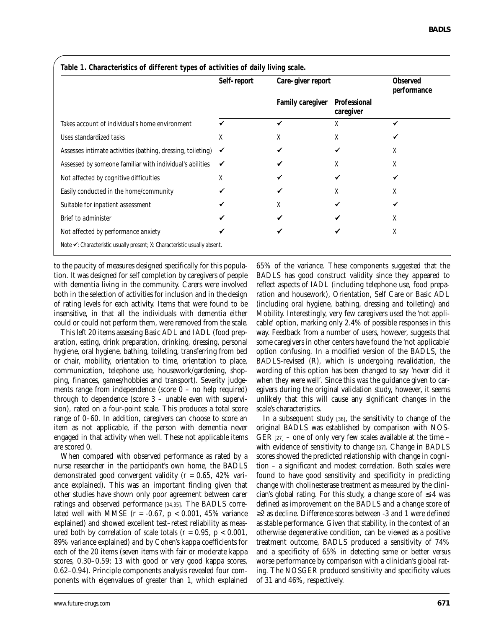|                                                             | Self-report | Care-giver report |                           | Observed<br>performance |
|-------------------------------------------------------------|-------------|-------------------|---------------------------|-------------------------|
|                                                             |             | Family caregiver  | Professional<br>caregiver |                         |
| Takes account of individual's home environment              |             | ✔                 | χ                         |                         |
| Uses standardized tasks                                     | Χ           | Χ                 | Χ                         |                         |
| Assesses intimate activities (bathing, dressing, toileting) | ✔           |                   |                           | X                       |
| Assessed by someone familiar with individual's abilities    | ✓           |                   |                           | χ                       |
| Not affected by cognitive difficulties                      | χ           |                   |                           |                         |
| Easily conducted in the home/community                      |             |                   | Χ                         | X                       |
| Suitable for inpatient assessment                           |             | χ                 |                           |                         |
| Brief to administer                                         |             |                   |                           | X                       |
| Not affected by performance anxiety                         |             |                   |                           | Χ                       |

# **Table 1. Characteristics of different types of activities of daily living scale.**

to the paucity of measures designed specifically for this population. It was designed for self completion by caregivers of people with dementia living in the community. Carers were involved both in the selection of activities for inclusion and in the design of rating levels for each activity. Items that were found to be insensitive, in that all the individuals with dementia either could or could not perform them, were removed from the scale.

This left 20 items assessing Basic ADL and IADL (food preparation, eating, drink preparation, drinking, dressing, personal hygiene, oral hygiene, bathing, toileting, transferring from bed or chair, mobility, orientation to time, orientation to place, communication, telephone use, housework/gardening, shopping, finances, games/hobbies and transport). Severity judgements range from independence (score 0 – no help required) through to dependence (score 3 – unable even with supervision), rated on a four-point scale. This produces a total score range of 0–60. In addition, caregivers can choose to score an item as not applicable, if the person with dementia never engaged in that activity when well. These not applicable items are scored 0.

When compared with observed performance as rated by a nurse researcher in the participant's own home, the BADLS demonstrated good convergent validity ( $r = 0.65$ , 42% variance explained). This was an important finding given that other studies have shown only poor agreement between carer ratings and observed performance [34,35]. The BADLS correlated well with MMSE ( $r = -0.67$ ,  $p < 0.001$ , 45% variance explained) and showed excellent test–retest reliability as measured both by correlation of scale totals ( $r = 0.95$ ,  $p < 0.001$ , 89% variance explained) and by Cohen's kappa coefficients for each of the 20 items (seven items with fair or moderate kappa scores, 0.30–0.59; 13 with good or very good kappa scores, 0.62–0.94). Principle components analysis revealed four components with eigenvalues of greater than 1, which explained 65% of the variance. These components suggested that the BADLS has good construct validity since they appeared to reflect aspects of IADL (including telephone use, food preparation and housework), Orientation, Self Care or Basic ADL (including oral hygiene, bathing, dressing and toileting) and Mobility. Interestingly, very few caregivers used the 'not applicable' option, marking only 2.4% of possible responses in this way. Feedback from a number of users, however, suggests that some caregivers in other centers have found the 'not applicable' option confusing. In a modified version of the BADLS, the BADLS-revised (R), which is undergoing revalidation, the wording of this option has been changed to say 'never did it when they were well'. Since this was the guidance given to caregivers during the original validation study, however, it seems unlikely that this will cause any significant changes in the scale's characteristics.

In a subsequent study [36], the sensitivity to change of the original BADLS was established by comparison with NOS-GER  $[27]$  – one of only very few scales available at the time – with evidence of sensitivity to change [37]. Change in BADLS scores showed the predicted relationship with change in cognition – a significant and modest correlation. Both scales were found to have good sensitivity and specificity in predicting change with cholinesterase treatment as measured by the clinician's global rating. For this study, a change score of  $\leq$ -4 was defined as improvement on the BADLS and a change score of ≥2 as decline. Difference scores between -3 and 1 were defined as stable performance. Given that stability, in the context of an otherwise degenerative condition, can be viewed as a positive treatment outcome, BADLS produced a sensitivity of 74% and a specificity of 65% in detecting same or better *versus* worse performance by comparison with a clinician's global rating. The NOSGER produced sensitivity and specificity values of 31 and 46%, respectively.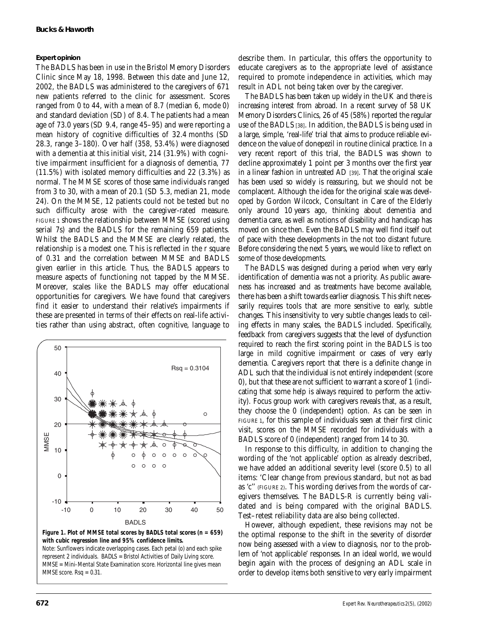# <span id="page-3-0"></span>**Expert opinion**

The BADLS has been in use in the Bristol Memory Disorders Clinic since May 18, 1998. Between this date and June 12, 2002, the BADLS was administered to the caregivers of 671 new patients referred to the clinic for assessment. Scores ranged from 0 to 44, with a mean of 8.7 (median 6, mode 0) and standard deviation (SD) of 8.4. The patients had a mean age of 73.0 years (SD 9.4, range 45–95) and were reporting a mean history of cognitive difficulties of 32.4 months (SD 28.3, range 3–180). Over half (358, 53.4%) were diagnosed with a dementia at this initial visit, 214 (31.9%) with cognitive impairment insufficient for a diagnosis of dementia, 77 (11.5%) with isolated memory difficulties and 22 (3.3%) as normal. The MMSE scores of those same individuals ranged from 3 to 30, with a mean of 20.1 (SD 5.3, median 21, mode 24). On the MMSE, 12 patients could not be tested but no such difficulty arose with the caregiver-rated measure. FIGURE 1 shows the relationship between MMSE (scored using serial 7s) and the BADLS for the remaining 659 patients. Whilst the BADLS and the MMSE are clearly related, the relationship is a modest one. This is reflected in the r square of 0.31 and the correlation between MMSE and BADLS given earlier in this article. Thus, the BADLS appears to measure aspects of functioning not tapped by the MMSE. Moreover, scales like the BADLS may offer educational opportunities for caregivers. We have found that caregivers find it easier to understand their relative's impairments if these are presented in terms of their effects on real-life activities rather than using abstract, often cognitive, language to



**Figure 1. Plot of MMSE total scores by BADLS total scores (n = 659) with cubic regression line and 95% confidence limits.**

Note: Sunflowers indicate overlapping cases. Each petal (o) and each spike represent 2 individuals. BADLS = Bristol Activities of Daily Living score. MMSE = Mini-Mental State Examination score. Horizontal line gives mean MMSE score. Rsq = 0.31.

describe them. In particular, this offers the opportunity to educate caregivers as to the appropriate level of assistance required to promote independence in activities, which may result in ADL not being taken over by the caregiver.

The BADLS has been taken up widely in the UK and there is increasing interest from abroad. In a recent survey of 58 UK Memory Disorders Clinics, 26 of 45 (58%) reported the regular use of the BADLS [38]. In addition, the BADLS is being used in a large, simple, 'real-life' trial that aims to produce reliable evidence on the value of donepezil in routine clinical practice. In a very recent report of this trial, the BADLS was shown to decline approximately 1 point per 3 months over the first year in a linear fashion in untreated AD [39]. That the original scale has been used so widely is reassuring, but we should not be complacent. Although the idea for the original scale was developed by Gordon Wilcock, Consultant in Care of the Elderly only around 10 years ago, thinking about dementia and dementia care, as well as notions of disability and handicap has moved on since then. Even the BADLS may well find itself out of pace with these developments in the not too distant future. Before considering the next 5 years, we would like to reflect on some of those developments.

The BADLS was designed during a period when very early identification of dementia was not a priority. As public awareness has increased and as treatments have become available, there has been a shift towards earlier diagnosis. This shift necessarily requires tools that are more sensitive to early, subtle changes. This insensitivity to very subtle changes leads to ceiling effects in many scales, the BADLS included. Specifically, feedback from caregivers suggests that the level of dysfunction required to reach the first scoring point in the BADLS is too large in mild cognitive impairment or cases of very early dementia. Caregivers report that there is a definite change in ADL such that the individual is not entirely independent (score 0), but that these are not sufficient to warrant a score of 1 (indicating that some help is always required to perform the activity). Focus group work with caregivers reveals that, as a result, they choose the 0 (independent) option. As can be seen in FIGURE 1, for this sample of individuals seen at their first clinic visit, scores on the MMSE recorded for individuals with a BADLS score of 0 (independent) ranged from 14 to 30.

In response to this difficulty, in addition to changing the wording of the 'not applicable' option as already described, we have added an additional severity level (score 0.5) to all items: 'Clear change from previous standard, but not as bad as 'c'' (FIGURE 2). This wording derives from the words of caregivers themselves. The BADLS-R is currently being validated and is being compared with the original BADLS. Test–retest reliability data are also being collected.

However, although expedient, these revisions may not be the optimal response to the shift in the severity of disorder now being assessed with a view to diagnosis, nor to the problem of 'not applicable' responses. In an ideal world, we would begin again with the process of designing an ADL scale in order to develop items both sensitive to very early impairment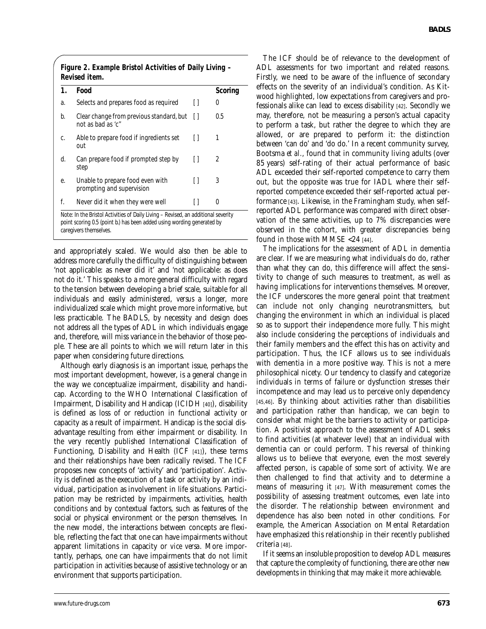| Figure 2. Example Bristol Activities of Daily Living - |
|--------------------------------------------------------|
| Revised item.                                          |

| 1. | Food                                                          |              | Scoring |
|----|---------------------------------------------------------------|--------------|---------|
| a. | Selects and prepares food as required                         | $\mathsf{L}$ | 0       |
| b. | Clear change from previous standard, but<br>not as bad as 'c" | $\Box$       | 0.5     |
| C. | Able to prepare food if ingredients set<br>out                | $\mathsf{L}$ |         |
| d. | Can prepare food if prompted step by<br>step                  | $\mathsf{L}$ | 2       |
| е. | Unable to prepare food even with<br>prompting and supervision |              | 3       |
| f. | Never did it when they were well                              |              | Ω       |

and appropriately scaled. We would also then be able to address more carefully the difficulty of distinguishing between 'not applicable: as never did it' and 'not applicable: as does not do it.' This speaks to a more general difficulty with regard to the tension between developing a brief scale, suitable for all individuals and easily administered, *versus* a longer, more individualized scale which might prove more informative, but less practicable. The BADLS, by necessity and design does not address all the types of ADL in which individuals engage and, therefore, will miss variance in the behavior of those people. These are all points to which we will return later in this paper when considering future directions.

Although early diagnosis is an important issue, perhaps the most important development, however, is a general change in the way we conceptualize impairment, disability and handicap. According to the WHO International Classification of Impairment, Disability and Handicap (ICIDH [40]), disability is defined as loss of or reduction in functional activity or capacity as a result of impairment. Handicap is the social disadvantage resulting from either impairment or disability. In the very recently published International Classification of Functioning, Disability and Health (ICF [41]), these terms and their relationships have been radically revised. The ICF proposes new concepts of 'activity' and 'participation'. Activity is defined as the execution of a task or activity by an individual, participation as involvement in life situations. Participation may be restricted by impairments, activities, health conditions and by contextual factors, such as features of the social or physical environment or the person themselves. In the new model, the interactions between concepts are flexible, reflecting the fact that one can have impairments without apparent limitations in capacity or *vice versa*. More importantly, perhaps, one can have impairments that do not limit participation in activities because of assistive technology or an environment that supports participation.

The ICF should be of relevance to the development of ADL assessments for two important and related reasons. Firstly, we need to be aware of the influence of secondary effects on the severity of an individual's condition. As Kitwood highlighted, low expectations from caregivers and professionals alike can lead to excess disability [42]. Secondly we may, therefore, not be measuring a person's actual capacity to perform a task, but rather the degree to which they are allowed, or are prepared to perform it: the distinction between 'can do' and 'do do.' In a recent community survey, Bootsma *et al.*, found that in community living adults (over 85 years) self-rating of their actual performance of basic ADL exceeded their self-reported competence to carry them out, but the opposite was true for IADL where their selfreported competence exceeded their self-reported actual performance [43]. Likewise, in the Framingham study, when selfreported ADL performance was compared with direct observation of the same activities, up to 7% discrepancies were observed in the cohort, with greater discrepancies being found in those with MMSE <24  $[44]$ .

The implications for the assessment of ADL in dementia are clear. If we are measuring what individuals do do, rather than what they can do, this difference will affect the sensitivity to change of such measures to treatment, as well as having implications for interventions themselves. Moreover, the ICF underscores the more general point that treatment can include not only changing neurotransmitters, but changing the environment in which an individual is placed so as to support their independence more fully. This might also include considering the perceptions of individuals and their family members and the effect this has on activity and participation. Thus, the ICF allows us to see individuals with dementia in a more positive way. This is not a mere philosophical nicety. Our tendency to classify and categorize individuals in terms of failure or dysfunction stresses their incompetence and may lead us to perceive only dependency [45,46]. By thinking about activities rather than disabilities and participation rather than handicap, we can begin to consider what might be the barriers to activity or participation. A positivist approach to the assessment of ADL seeks to find activities (at whatever level) that an individual with dementia can or could perform. This reversal of thinking allows us to believe that everyone, even the most severely affected person, is capable of some sort of activity. We are then challenged to find that activity and to determine a means of measuring it [47]. With measurement comes the possibility of assessing treatment outcomes, even late into the disorder. The relationship between environment and dependence has also been noted in other conditions. For example, the American Association on Mental Retardation have emphasized this relationship in their recently published criteria [48].

If it seems an insoluble proposition to develop ADL measures that capture the complexity of functioning, there are other new developments in thinking that may make it more achievable.

caregivers themselves.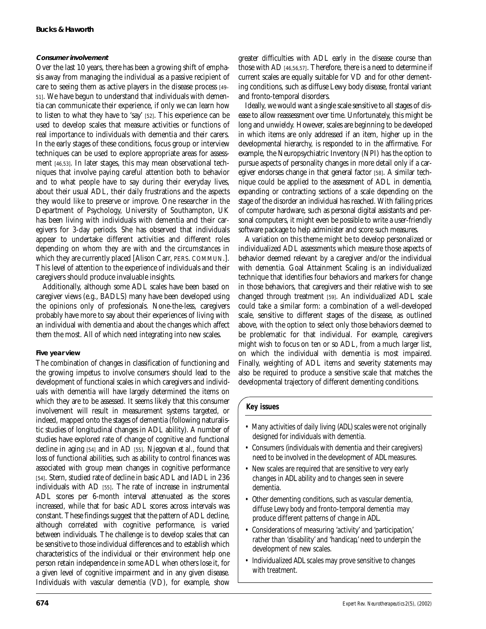# **Consumer involvement**

Over the last 10 years, there has been a growing shift of emphasis away from managing the individual as a passive recipient of care to seeing them as active players in the disease process [49– 51]. We have begun to understand that individuals with dementia can communicate their experience, if only we can learn how to listen to what they have to 'say' [52]. This experience can be used to develop scales that measure activities or functions of real importance to individuals with dementia and their carers. In the early stages of these conditions, focus group or interview techniques can be used to explore appropriate areas for assessment [46,53]. In later stages, this may mean observational techniques that involve paying careful attention both to behavior and to what people have to say during their everyday lives, about their usual ADL, their daily frustrations and the aspects they would like to preserve or improve. One researcher in the Department of Psychology, University of Southampton, UK has been living with individuals with dementia and their caregivers for 3-day periods. She has observed that individuals appear to undertake different activities and different roles depending on whom they are with and the circumstances in which they are currently placed [Alison Carr, PERS. COMMUN.]. This level of attention to the experience of individuals and their caregivers should produce invaluable insights.

Additionally, although some ADL scales have been based on caregiver views (e.g., BADLS) many have been developed using the opinions only of professionals. None-the-less, caregivers probably have more to say about their experiences of living with an individual with dementia and about the changes which affect them the most. All of which need integrating into new scales.

# <span id="page-5-0"></span>**Five year view**

The combination of changes in classification of functioning and the growing impetus to involve consumers should lead to the development of functional scales in which caregivers and individuals with dementia will have largely determined the items on which they are to be assessed. It seems likely that this consumer involvement will result in measurement systems targeted, or indeed, mapped onto the stages of dementia (following naturalistic studies of longitudinal changes in ADL ability). A number of studies have explored rate of change of cognitive and functional decline in aging [54] and in AD [55]. Njegovan *et al.*, found that loss of functional abilities, such as ability to control finances was associated with group mean changes in cognitive performance [54]. Stern, studied rate of decline in basic ADL and IADL in 236 individuals with AD [55]. The rate of increase in instrumental ADL scores per 6-month interval attenuated as the scores increased, while that for basic ADL scores across intervals was constant. These findings suggest that the pattern of ADL decline, although correlated with cognitive performance, is varied between individuals. The challenge is to develop scales that can be sensitive to those individual differences and to establish which characteristics of the individual or their environment help one person retain independence in some ADL when others lose it, for a given level of cognitive impairment and in any given disease. Individuals with vascular dementia (VD), for example, show

greater difficulties with ADL early in the disease course than those with AD [46,56,57]. Therefore, there is a need to determine if current scales are equally suitable for VD and for other dementing conditions, such as diffuse Lewy body disease, frontal variant and fronto-temporal disorders.

Ideally, we would want a single scale sensitive to all stages of disease to allow reassessment over time. Unfortunately, this might be long and unwieldy. However, scales are beginning to be developed in which items are only addressed if an item, higher up in the developmental hierarchy, is responded to in the affirmative. For example, the Neuropsychiatric Inventory (NPI) has the option to pursue aspects of personality changes in more detail only if a caregiver endorses change in that general factor [58]. A similar technique could be applied to the assessment of ADL in dementia, expanding or contracting sections of a scale depending on the stage of the disorder an individual has reached. With falling prices of computer hardware, such as personal digital assistants and personal computers, it might even be possible to write a user-friendly software package to help administer and score such measures.

A variation on this theme might be to develop personalized or individualized ADL assessments which measure those aspects of behavior deemed relevant by a caregiver and/or the individual with dementia. Goal Attainment Scaling is an individualized technique that identifies four behaviors and markers for change in those behaviors, that caregivers and their relative wish to see changed through treatment [59]. An individualized ADL scale could take a similar form: a combination of a well-developed scale, sensitive to different stages of the disease, as outlined above, with the option to select only those behaviors deemed to be problematic for that individual. For example, caregivers might wish to focus on ten or so ADL, from a much larger list, on which the individual with dementia is most impaired. Finally, weighting of ADL items and severity statements may also be required to produce a sensitive scale that matches the developmental trajectory of different dementing conditions.

# **Key issues**

- Many activities of daily living (ADL) scales were not originally designed for individuals with dementia.
- Consumers (individuals with dementia and their caregivers) need to be involved in the development of ADL measures.
- New scales are required that are sensitive to very early changes in ADL ability and to changes seen in severe dementia.
- Other dementing conditions, such as vascular dementia, diffuse Lewy body and fronto-temporal dementia may produce different patterns of change in ADL.
- Considerations of measuring 'activity' and 'participation,' rather than 'disability' and 'handicap' need to underpin the development of new scales.
- Individualized ADL scales may prove sensitive to changes with treatment.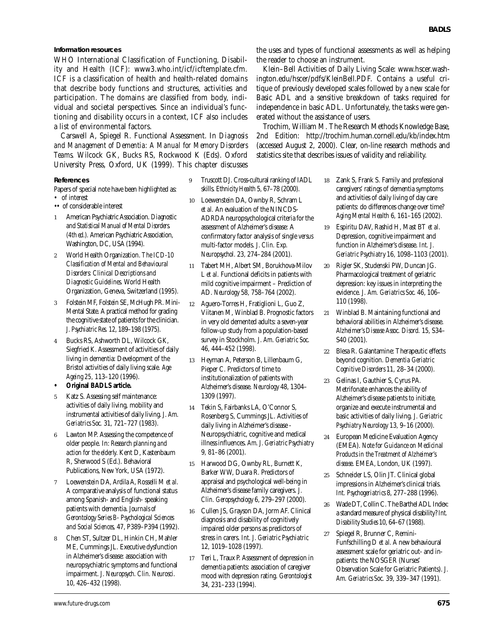#### <span id="page-6-0"></span>**Information resources**

WHO International Classification of Functioning, Disability and Health (ICF): www3.who.int/icf/icftemplate.cfm. ICF is a classification of health and health-related domains that describe body functions and structures, activities and participation. The domains are classified from body, individual and societal perspectives. Since an individual's functioning and disability occurs in a context, ICF also includes a list of environmental factors.

Carswell A, Spiegel R. Functional Assessment. In *Diagnosis and Management of Dementia: A Manual for Memory Disorders Teams.* Wilcock GK, Bucks RS, Rockwood K (Eds). Oxford University Press, Oxford, UK (1999). This chapter discusses

#### <span id="page-6-1"></span>**References**

Papers of special note have been highlighted as: • of interest

- •• of considerable interest
- 1 American Psychiatric Association. *Diagnostic and Statistical Manual of Mental Disorders. (4th ed.).* American Psychiatric Association, Washington, DC, USA (1994).
- 2 World Health Organization. *The ICD-10 Classification of Mental and Behavioural Disorders: Clinical Descriptions and Diagnostic Guidelines.* World Health Organization, Geneva, Switzerland (1995).
- 3 Folstein MF, Folstein SE, McHugh PR. Mini-Mental State. A practical method for grading the cognitive state of patients for the clinician. *J. Psychiatric Res. 12*, 189–198 (1975).
- 4 Bucks RS, Ashworth DL, Wilcock GK, Siegfried K. Assessment of activities of daily living in dementia: Development of the Bristol activities of daily living scale. *Age Ageing 25,* 113–120 (1996).
- **Original BADLS article.**
- 5 Katz S. Assessing self maintenance: activities of daily living, mobility and instrumental activities of daily living. *J. Am. Geriatrics Soc.* 31, 721–727 (1983).
- 6 Lawton MP. Assessing the competence of older people. In: *Research planning and action for the elderly*. Kent D, Kastenbaum R, Sherwood S (Ed.). Behavioral Publications, New York, USA (1972).
- 7 Loewenstein DA, Ardila A, Rosselli M *et al.* A comparative analysis of functional status among Spanish- and English- speaking patients with dementia. *Journals of Gerontology Series B- Psychological Sciences and Social Sciences,* 47, P389–P394 (1992).
- 8 Chen ST, Sultzer DL, Hinkin CH, Mahler ME, Cummings JL. Executive dysfunction in Alzheimer's disease: association with neuropsychiatric symptoms and functional impairment. *J. Neuropsych. Clin. Neurosci.*  10, 426–432 (1998).
- 9 Truscott DJ. Cross-cultural ranking of IADL skills. *Ethnicity Health* 5*,* 67–78 (2000).
- 10 Loewenstein DA, Ownby R, Schram L *et al.* An evaluation of the NINCDS-ADRDA neuropsychological criteria for the assessment of Alzheimer's disease: A confirmatory factor analysis of single *versus* multi-factor models. *J. Clin. Exp. Neuropsychol.* 23*,* 274–284 (2001).
- 11 Tabert MH, Albert SM, Borukhova-Milov L *et al.* Functional deficits in patients with mild cognitive impairment – Prediction of AD. *Neurology* 58*,* 758–764 (2002).
- 12 Aguero-Torres H, Fratiglioni L, Guo Z, Viitanen M, Winblad B. Prognostic factors in very old demented adults: a seven-year follow-up study from a population-based survey in Stockholm. *J. Am. Geriatric Soc.*  46, 444–452 (1998).
- 13 Heyman A, Peterson B, Lillenbaum G, Pieper C. Predictors of time to institutionalization of patients with Alzheimer's disease. *Neurology* 48, 1304– 1309 (1997).
- 14 Tekin S, Fairbanks LA, O'Connor S, Rosenberg S, Cummings JL. Activities of daily living in Alzheimer's disease - Neuropsychiatric, cognitive and medical illness influences. *Am. J. Geriatric Psychiatry*  9*,* 81–86 (2001).
- 15 Harwood DG, Ownby RL, Burnett K, Barker WW, Duara R. Predictors of appraisal and psychological well-being in Alzheimer's disease family caregivers. *J. Clin. Geropsychology* 6, 279–297 (2000).
- 16 Cullen JS, Grayson DA, Jorm AF. Clinical diagnosis and disability of cognitively impaired older persons as predictors of stress in carers. *Int. J. Geriatric Psychiatric*  12, 1019–1028 (1997).
- 17 Teri L, Traux P. Assessment of depression in dementia patients: association of caregiver mood with depression rating. *Gerontologist*  34, 231–233 (1994).

the uses and types of functional assessments as well as helping the reader to choose an instrument.

Klein–Bell Activities of Daily Living Scale: www.hscer.washington.edu/hscer/pdfs/KleinBell.PDF. Contains a useful critique of previously developed scales followed by a new scale for Basic ADL and a sensitive breakdown of tasks required for independence in basic ADL. Unfortunately, the tasks were generated without the assistance of users.

Trochim, William M. The Research Methods Knowledge Base, 2nd Edition: http://trochim.human.cornell.edu/kb/index.htm (accessed August 2, 2000). Clear, on-line research methods and statistics site that describes issues of validity and reliability.

- 18 Zank S, Frank S. Family and professional caregivers' ratings of dementia symptoms and activities of daily living of day care patients: do differences change over time? *Aging Mental Health* 6*,* 161–165 (2002).
- 19 Espiritu DAV, Rashid H, Mast BT *et al.* Depression, cognitive impairment and function in Alzheimer's disease. *Int. J. Geriatric Psychiatry* 16*,* 1098–1103 (2001).
- 20 Rigler SK, Studenski PW, Duncan JG. Pharmacological treatment of geriatric depression: key issues in interpreting the evidence. *J. Am. Geriatrics Soc.* 46, 106– 110 (1998).
- 21 Winblad B. Maintaining functional and behavioral abilities in Alzheimer's disease. *Alzheimer's Disease Assoc. Disord.* 15*,* S34– S40 (2001).
- 22 Blesa R. Galantamine: Therapeutic effects beyond cognition. *Dementia Geriatric Cognitive Disorders* 11*,* 28–34 (2000).
- 23 Gelinas I, Gauthier S, Cyrus PA. Metrifonate enhances the ability of Alzheimer's disease patients to initiate, organize and execute instrumental and basic activities of daily living. *J. Geriatric Psychiatry Neurology* 13*,* 9–16 (2000).
- 24 European Medicine Evaluation Agency (EMEA). *Note for Guidance on Medicinal Products in the Treatment of Alzheimer's disease*. EMEA, London, UK (1997).
- 25 Schneider LS, Olin JT. Clinical global impressions in Alzheimer's clinical trials. *Int. Psychogeriatrics* 8, 277–288 (1996).
- 26 Wade DT, Collin C. The Barthel ADL Index: a standard measure of physical disability? *Int. Disability Studies* 10, 64–67 (1988).
- 27 Spiegel R, Brunner C, Remini-Funfschilling D *et al.* A new behavioural assessment scale for geriatric out- and inpatients: the NOSGER (Nurses' Observation Scale for Geriatric Patients). *J. Am. Geriatrics Soc.* 39, 339–347 (1991).